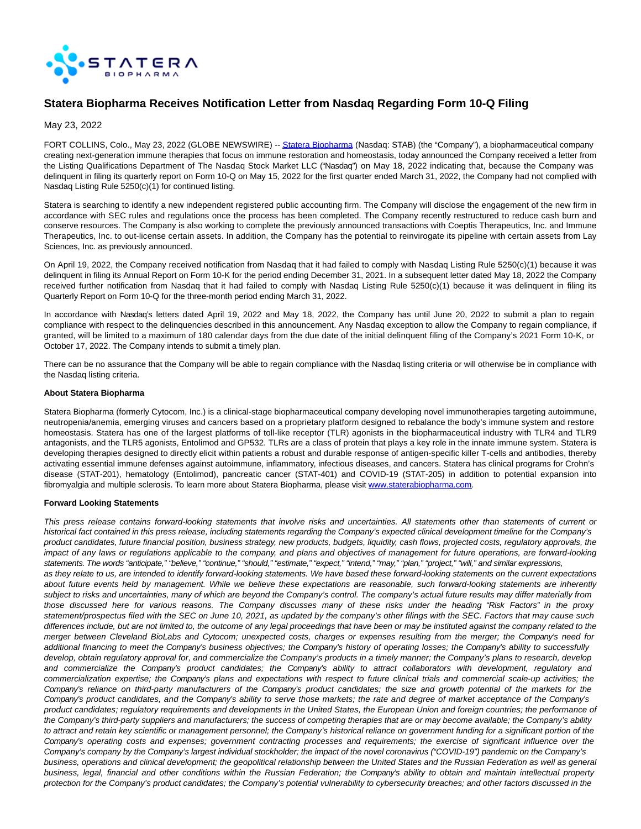

# **Statera Biopharma Receives Notification Letter from Nasdaq Regarding Form 10-Q Filing**

May 23, 2022

FORT COLLINS, Colo., May 23, 2022 (GLOBE NEWSWIRE) -- [Statera Biopharma \(](https://www.globenewswire.com/Tracker?data=4E2OHDv_nIyU8SaEfl7PhZ79TBv_SgDNFDmDZ8N9Q1PGPoDPg37j-4JDp8J1tV4kk-vvQOmnUPd56lzAfd2wc5YbQZJKlMbcpGSlMPhtULy875o8mURSUUoqp-SiM9-udtm20XUub1eKqhtmCyzTjY0xZ0BKjpVKRJgbe_l9ViG7UqtFahIKWAc0GNGiPqZ78LeThIP3_wrMwJreMV7QYXW5U-IPHcK3jaimcvlEPEcNVYU86X5eTGK_UyLEOIdmvaUBnvypvmVuzyZAv-XSUGVQx8YEciDrNVERhRUkWc30B3uxPFPxGTBwledYkdg8)Nasdaq: STAB) (the "Company"), a biopharmaceutical company creating next-generation immune therapies that focus on immune restoration and homeostasis, today announced the Company received a letter from the Listing Qualifications Department of The Nasdaq Stock Market LLC ("Nasdaq") on May 18, 2022 indicating that, because the Company was delinquent in filing its quarterly report on Form 10-Q on May 15, 2022 for the first quarter ended March 31, 2022, the Company had not complied with Nasdaq Listing Rule 5250(c)(1) for continued listing.

Statera is searching to identify a new independent registered public accounting firm. The Company will disclose the engagement of the new firm in accordance with SEC rules and regulations once the process has been completed. The Company recently restructured to reduce cash burn and conserve resources. The Company is also working to complete the previously announced transactions with Coeptis Therapeutics, Inc. and Immune Therapeutics, Inc. to out-license certain assets. In addition, the Company has the potential to reinvirogate its pipeline with certain assets from Lay Sciences, Inc. as previously announced.

On April 19, 2022, the Company received notification from Nasdaq that it had failed to comply with Nasdaq Listing Rule 5250(c)(1) because it was delinquent in filing its Annual Report on Form 10-K for the period ending December 31, 2021. In a subsequent letter dated May 18, 2022 the Company received further notification from Nasdaq that it had failed to comply with Nasdaq Listing Rule 5250(c)(1) because it was delinquent in filing its Quarterly Report on Form 10-Q for the three-month period ending March 31, 2022.

In accordance with Nasdaq's letters dated April 19, 2022 and May 18, 2022, the Company has until June 20, 2022 to submit a plan to regain compliance with respect to the delinquencies described in this announcement. Any Nasdaq exception to allow the Company to regain compliance, if granted, will be limited to a maximum of 180 calendar days from the due date of the initial delinquent filing of the Company's 2021 Form 10-K, or October 17, 2022. The Company intends to submit a timely plan.

There can be no assurance that the Company will be able to regain compliance with the Nasdaq listing criteria or will otherwise be in compliance with the Nasdaq listing criteria.

#### **About Statera Biopharma**

Statera Biopharma (formerly Cytocom, Inc.) is a clinical-stage biopharmaceutical company developing novel immunotherapies targeting autoimmune, neutropenia/anemia, emerging viruses and cancers based on a proprietary platform designed to rebalance the body's immune system and restore homeostasis. Statera has one of the largest platforms of toll-like receptor (TLR) agonists in the biopharmaceutical industry with TLR4 and TLR9 antagonists, and the TLR5 agonists, Entolimod and GP532. TLRs are a class of protein that plays a key role in the innate immune system. Statera is developing therapies designed to directly elicit within patients a robust and durable response of antigen-specific killer T-cells and antibodies, thereby activating essential immune defenses against autoimmune, inflammatory, infectious diseases, and cancers. Statera has clinical programs for Crohn's disease (STAT-201), hematology (Entolimod), pancreatic cancer (STAT-401) and COVID-19 (STAT-205) in addition to potential expansion into fibromyalgia and multiple sclerosis. To learn more about Statera Biopharma, please visit [www.staterabiopharma.com.](https://www.globenewswire.com/Tracker?data=53O6NZlEJc0gw9M_W5SULxohjv_kOcCMx80SmL2UKRFe6jiRxJECxLrWO1kqFYqjqCE_rWunl0EE-U9IrqFKgpehDeWRZm6Te59c1bY1bOmDf_EhJbs8p4hIak38bkLdv57tX5Gio9n0NdvsfBSgN6ssS4pVCEO-xtNUV6IY05PAQiywZSVaxvLYBQuM6Oehv8k_lnS6GOabucEDUIwkZabB64CqRhKTPnF-jvSbcYgUObjkjTmOFVLBdjjKwEBY)

## **Forward Looking Statements**

This press release contains forward-looking statements that involve risks and uncertainties. All statements other than statements of current or historical fact contained in this press release, including statements regarding the Company's expected clinical development timeline for the Company's product candidates, future financial position, business strategy, new products, budgets, liquidity, cash flows, projected costs, regulatory approvals, the impact of any laws or regulations applicable to the company, and plans and objectives of management for future operations, are forward-looking statements. The words "anticipate," "believe," "continue," "should," "estimate," "expect," "intend," "may," "plan," "project," "will," and similar expressions, as they relate to us, are intended to identify forward-looking statements. We have based these forward-looking statements on the current expectations about future events held by management. While we believe these expectations are reasonable, such forward-looking statements are inherently subject to risks and uncertainties, many of which are beyond the Company's control. The company's actual future results may differ materially from those discussed here for various reasons. The Company discusses many of these risks under the heading "Risk Factors" in the proxy statement/prospectus filed with the SEC on June 10, 2021, as updated by the company's other filings with the SEC. Factors that may cause such differences include, but are not limited to, the outcome of any legal proceedings that have been or may be instituted against the company related to the merger between Cleveland BioLabs and Cytocom; unexpected costs, charges or expenses resulting from the merger; the Company's need for additional financing to meet the Company's business objectives; the Company's history of operating losses; the Company's ability to successfully develop, obtain regulatory approval for, and commercialize the Company's products in a timely manner; the Company's plans to research, develop and commercialize the Company's product candidates; the Company's ability to attract collaborators with development, regulatory and commercialization expertise; the Company's plans and expectations with respect to future clinical trials and commercial scale-up activities; the Company's reliance on third-party manufacturers of the Company's product candidates; the size and growth potential of the markets for the Company's product candidates, and the Company's ability to serve those markets; the rate and degree of market acceptance of the Company's product candidates; regulatory requirements and developments in the United States, the European Union and foreign countries; the performance of the Company's third-party suppliers and manufacturers; the success of competing therapies that are or may become available; the Company's ability to attract and retain key scientific or management personnel; the Company's historical reliance on government funding for a significant portion of the Company's operating costs and expenses; government contracting processes and requirements; the exercise of significant influence over the Company's company by the Company's largest individual stockholder; the impact of the novel coronavirus ("COVID-19") pandemic on the Company's business, operations and clinical development; the geopolitical relationship between the United States and the Russian Federation as well as general business, legal, financial and other conditions within the Russian Federation; the Company's ability to obtain and maintain intellectual property protection for the Company's product candidates; the Company's potential vulnerability to cybersecurity breaches; and other factors discussed in the